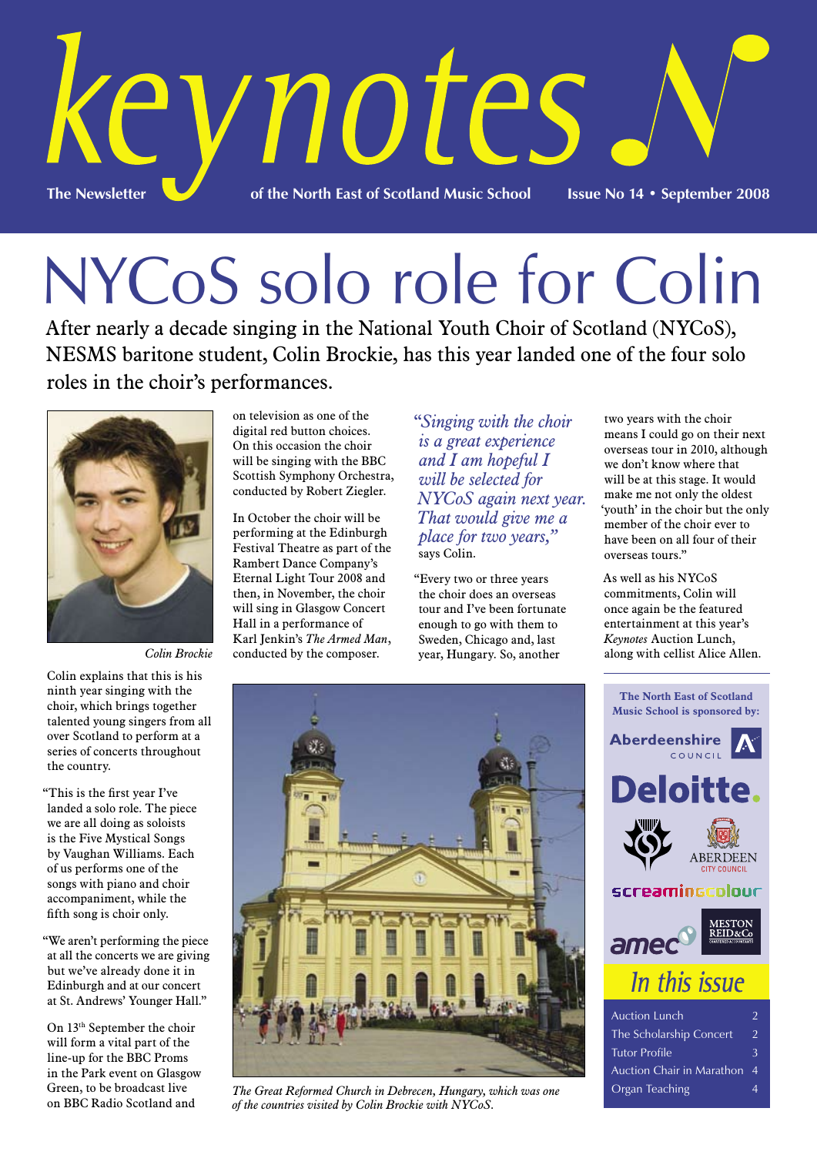

# NYCoS solo role for Colin

After nearly a decade singing in the National Youth Choir of Scotland (NYCoS), NESMS baritone student, Colin Brockie, has this year landed one of the four solo roles in the choir's performances.



*Colin Brockie*

Colin explains that this is his ninth year singing with the choir, which brings together talented young singers from all over Scotland to perform at a series of concerts throughout the country.

"This is the first year I've landed a solo role. The piece we are all doing as soloists is the Five Mystical Songs by Vaughan Williams. Each of us performs one of the songs with piano and choir accompaniment, while the fifth song is choir only.

"We aren't performing the piece at all the concerts we are giving but we've already done it in Edinburgh and at our concert at St. Andrews' Younger Hall."

On 13th September the choir will form a vital part of the line-up for the BBC Proms in the Park event on Glasgow Green, to be broadcast live on BBC Radio Scotland and

on television as one of the digital red button choices. On this occasion the choir will be singing with the BBC Scottish Symphony Orchestra, conducted by Robert Ziegler.

In October the choir will be performing at the Edinburgh Festival Theatre as part of the Rambert Dance Company's Eternal Light Tour 2008 and then, in November, the choir will sing in Glasgow Concert Hall in a performance of Karl Jenkin's *The Armed Man*, conducted by the composer.

"*Singing with the choir is a great experience and I am hopeful I will be selected for NYCoS again next year. That would give me a place for two years,"*  says Colin.

"Every two or three years the choir does an overseas tour and I've been fortunate enough to go with them to Sweden, Chicago and, last year, Hungary. So, another

two years with the choir means I could go on their next overseas tour in 2010, although we don't know where that will be at this stage. It would make me not only the oldest 'youth' in the choir but the only member of the choir ever to have been on all four of their overseas tours."

As well as his NYCoS commitments, Colin will once again be the featured entertainment at this year's *Keynotes* Auction Lunch, along with cellist Alice Allen.



*The Great Reformed Church in Debrecen, Hungary, which was one of the countries visited by Colin Brockie with NYCoS.*

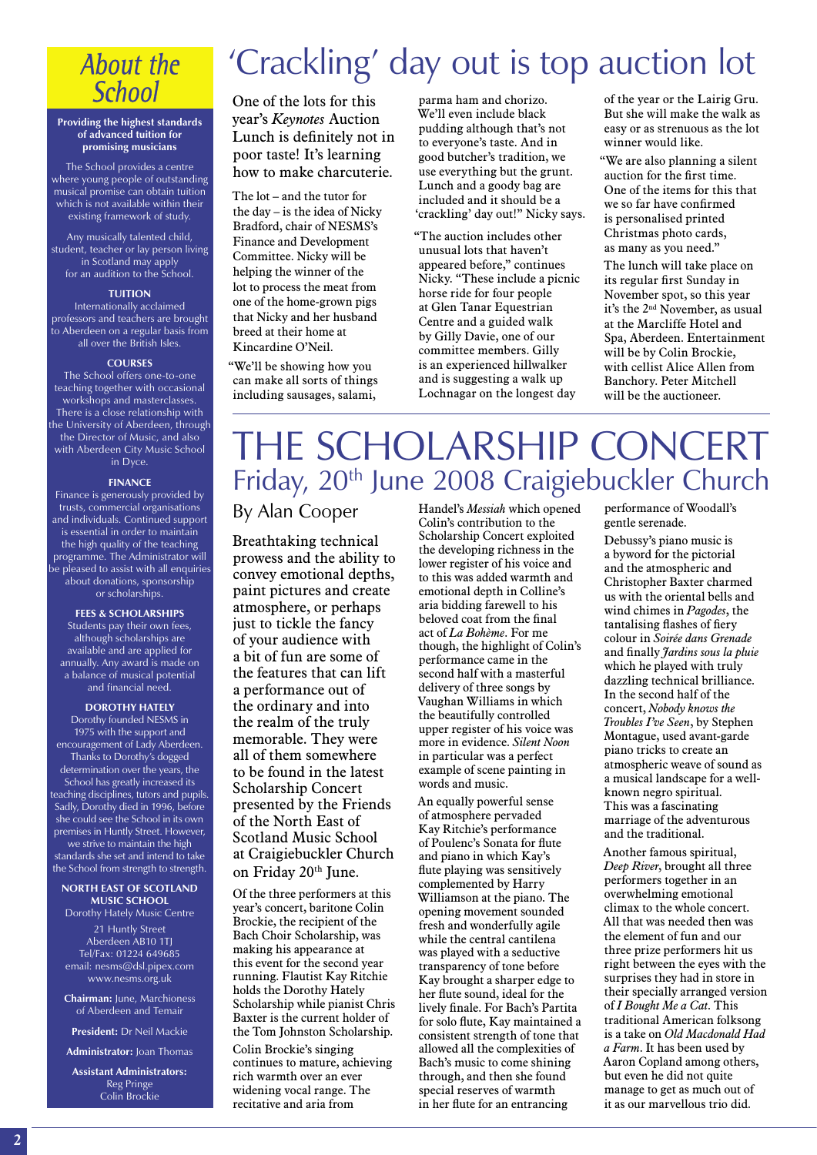### About the **School**

### **Providing the highest standards of advanced tuition for promising musicians**

The School provides a centre where young people of outstanding musical promise can obtain tuition which is not available within their existing framework of study.

Any musically talented child, student, teacher or lay person living in Scotland may apply for an audition to the School.

### **TUITION**

Internationally acclaimed professors and teachers are brought .<br>to Aberdeen on a regular basis from all over the British Isles.

#### **COURSES**

The School offers one-to-one teaching together with occasional workshops and masterclasses. There is a close relationship with the University of Aberdeen, through the Director of Music, and also with Aberdeen City Music School in Dyce.

#### **FINANCE**

Finance is generously provided by trusts, commercial organisations and individuals. Continued support is essential in order to maintain the high quality of the teaching programme. The Administrator will be pleased to assist with all enquiries about donations, sponsorship or scholarships.

**FEES & SCHOLARSHIPS** Students pay their own fees, although scholarships are available and are applied for annually. Any award is made on a balance of musical potential and financial need.

### **DOROTHY HATELY**

Dorothy founded NESMS in 1975 with the support and encouragement of Lady Aberdeen. Thanks to Dorothy's dogged determination over the years, the School has greatly increased its teaching disciplines, tutors and pupils. Sadly, Dorothy died in 1996, before she could see the School in its own premises in Huntly Street. However, we strive to maintain the high standards she set and intend to take the School from strength to strength.

### **NORTH EAST OF SCOTLAND MUSIC SCHOOL**

Dorothy Hately Music Centre 21 Huntly Street Aberdeen AB10 1TJ

Tel/Fax: 01224 649685 email: nesms@dsl.pipex.com www.nesms.org.uk

**Chairman:** June, Marchioness of Aberdeen and Temair

**President:** Dr Neil Mackie

**Administrator:** Joan Thomas

**Assistant Administrators:** Reg Pringe Colin Brockie

# 'Crackling' day out is top auction lot

One of the lots for this year's *Keynotes* Auction Lunch is definitely not in poor taste! It's learning how to make charcuterie.

The lot – and the tutor for the day – is the idea of Nicky Bradford, chair of NESMS's Finance and Development Committee. Nicky will be helping the winner of the lot to process the meat from one of the home-grown pigs that Nicky and her husband breed at their home at Kincardine O'Neil.

"We'll be showing how you can make all sorts of things including sausages, salami,

parma ham and chorizo. We'll even include black pudding although that's not to everyone's taste. And in good butcher's tradition, we use everything but the grunt. Lunch and a goody bag are included and it should be a 'crackling' day out!" Nicky says.

"The auction includes other unusual lots that haven't appeared before," continues Nicky. "These include a picnic horse ride for four people at Glen Tanar Equestrian Centre and a guided walk by Gilly Davie, one of our committee members. Gilly is an experienced hillwalker and is suggesting a walk up Lochnagar on the longest day

of the year or the Lairig Gru. But she will make the walk as easy or as strenuous as the lot winner would like.

"We are also planning a silent auction for the first time. One of the items for this that we so far have confirmed is personalised printed Christmas photo cards, as many as you need."

The lunch will take place on its regular first Sunday in November spot, so this year it's the 2nd November, as usual at the Marcliffe Hotel and Spa, Aberdeen. Entertainment will be by Colin Brockie, with cellist Alice Allen from Banchory. Peter Mitchell will be the auctioneer.

# THE SCHOLARSHIP CONCERT Friday, 20<sup>th</sup> June 2008 Craigiebuckler Church

### By Alan Cooper

Breathtaking technical prowess and the ability to convey emotional depths, paint pictures and create atmosphere, or perhaps just to tickle the fancy of your audience with a bit of fun are some of the features that can lift a performance out of the ordinary and into the realm of the truly memorable. They were all of them somewhere to be found in the latest Scholarship Concert presented by the Friends of the North East of Scotland Music School at Craigiebuckler Church on Friday 20th June.

Of the three performers at this year's concert, baritone Colin Brockie, the recipient of the Bach Choir Scholarship, was making his appearance at this event for the second year running. Flautist Kay Ritchie holds the Dorothy Hately Scholarship while pianist Chris Baxter is the current holder of the Tom Johnston Scholarship. Colin Brockie's singing continues to mature, achieving rich warmth over an ever widening vocal range. The recitative and aria from

Handel's *Messiah* which opened Colin's contribution to the Scholarship Concert exploited the developing richness in the lower register of his voice and to this was added warmth and emotional depth in Colline's aria bidding farewell to his beloved coat from the final act of *La Bohème*. For me though, the highlight of Colin's performance came in the second half with a masterful delivery of three songs by Vaughan Williams in which the beautifully controlled upper register of his voice was more in evidence. *Silent Noon* in particular was a perfect example of scene painting in words and music.

An equally powerful sense of atmosphere pervaded Kay Ritchie's performance of Poulenc's Sonata for flute and piano in which Kay's flute playing was sensitively complemented by Harry Williamson at the piano. The opening movement sounded fresh and wonderfully agile while the central cantilena was played with a seductive transparency of tone before Kay brought a sharper edge to her flute sound, ideal for the lively finale. For Bach's Partita for solo flute, Kay maintained a consistent strength of tone that allowed all the complexities of Bach's music to come shining through, and then she found special reserves of warmth in her flute for an entrancing

performance of Woodall's gentle serenade.

Debussy's piano music is a byword for the pictorial and the atmospheric and Christopher Baxter charmed us with the oriental bells and wind chimes in *Pagodes*, the tantalising flashes of fiery colour in *Soirée dans Grenade* and finally *Jardins sous la pluie* which he played with truly dazzling technical brilliance. In the second half of the concert, *Nobody knows the Troubles I've Seen*, by Stephen Montague, used avant-garde piano tricks to create an atmospheric weave of sound as a musical landscape for a wellknown negro spiritual. This was a fascinating marriage of the adventurous and the traditional.

Another famous spiritual, *Deep River*, brought all three performers together in an overwhelming emotional climax to the whole concert. All that was needed then was the element of fun and our three prize performers hit us right between the eyes with the surprises they had in store in their specially arranged version of *I Bought Me a Cat*. This traditional American folksong is a take on *Old Macdonald Had a Farm*. It has been used by Aaron Copland among others, but even he did not quite manage to get as much out of it as our marvellous trio did.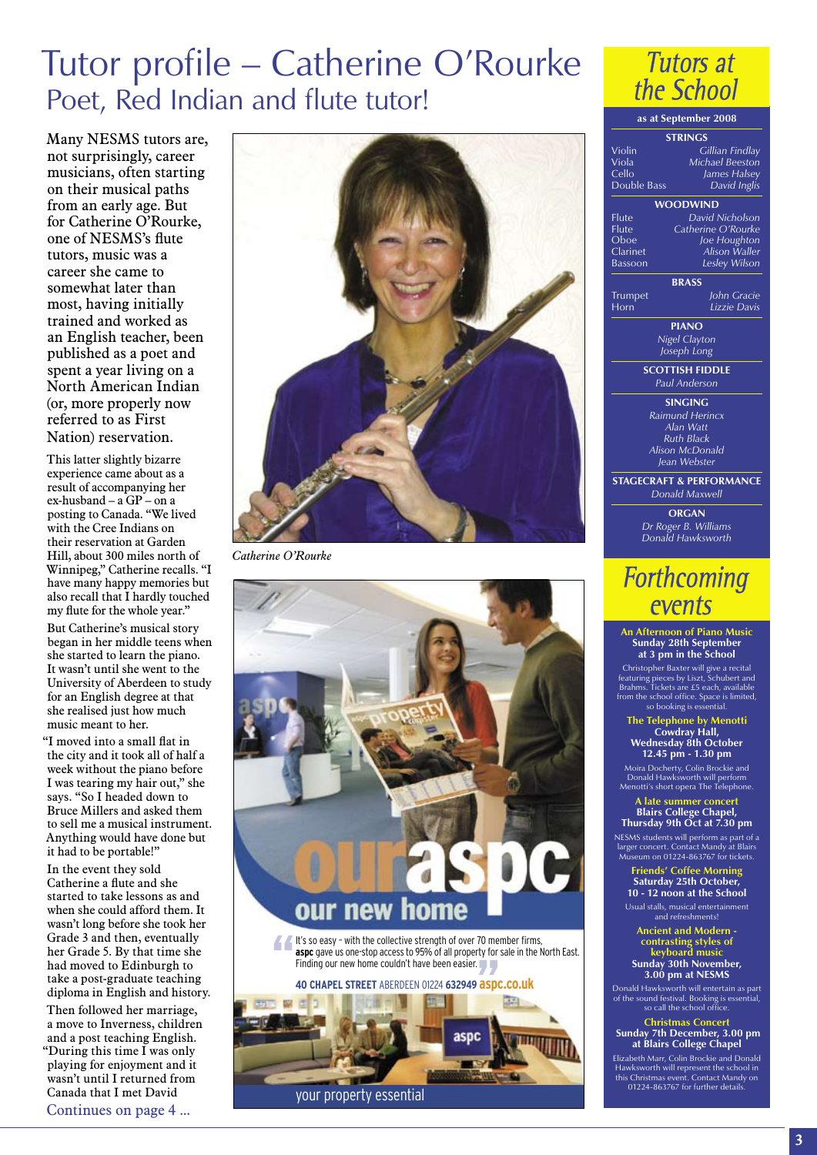# Tutor profile – Catherine O'Rourke Poet, Red Indian and flute tutor!

Many NESMS tutors are, not surprisingly, career musicians, often starting on their musical paths from an early age. But for Catherine O'Rourke, one of NESMS's flute tutors, music was a career she came to somewhat later than most, having initially trained and worked as an English teacher, been published as a poet and spent a year living on a North American Indian (or, more properly now referred to as First Nation) reservation.

This latter slightly bizarre experience came about as a result of accompanying her ex-husband – a GP – on a posting to Canada. "We lived with the Cree Indians on their reservation at Garden Hill, about 300 miles north of Winnipeg," Catherine recalls. "I have many happy memories but also recall that I hardly touched my flute for the whole year." But Catherine's musical story began in her middle teens when she started to learn the piano. It wasn't until she went to the University of Aberdeen to study for an English degree at that she realised just how much music meant to her.

"I moved into a small flat in the city and it took all of half a week without the piano before I was tearing my hair out," she says. "So I headed down to Bruce Millers and asked them to sell me a musical instrument. Anything would have done but it had to be portable!"

In the event they sold Catherine a flute and she started to take lessons as and when she could afford them. It wasn't long before she took her Grade 3 and then, eventually her Grade 5. By that time she had moved to Edinburgh to take a post-graduate teaching diploma in English and history.

Then followed her marriage, a move to Inverness, children and a post teaching English. "During this time I was only playing for enjoyment and it wasn't until I returned from

Canada that I met David Continues on page 4 ...



*Catherine O'Rourke*



It's so easy - with the collective strength of over 70 member firms,<br> **aspc** gave us one-stop access to 95% of all property for sale in the l<br>
Finding our new home couldn't have been easier. Finding our new home couldn't have been easier.

### **40 CHAPEL STREET** ABERDEEN 01224 **632949 aspc.co.uk**



**Tutors at** the School

### **as at September 2008 Strings** Violin *Gillian Findlay* Viola *Michael Beeston* Cello *James Halsey* Double Bass *David Inglis* **Woodwind** Flute *David Nicholson* Flute *Catherine O'Rourke* Oboe *Joe Houghton* Clarinet *Alison Waller* Bassoon *Lesley Wilson* **Brass** Trumpet *John Gracie* .<br>*Lizzie Davis* **Piano** *Nigel Clayton Joseph Long* **SCOTTISH FIDDLE** *Paul Anderson* **Singing** *Raimund Herincx Alan Watt Ruth Black Alison McDonald Jean Webster* **STAGECRAFT & PERFORMANCE** *Donald Maxwell* **ORGAN** *Dr Roger B. Williams Donald Hawksworth*

### **Forthcoming** events

#### **An Afternoon of Piano Music Sunday 28th September at 3 pm in the School**

Christopher Baxter will give a recital featuring pieces by Liszt, Schubert and Brahms. Tickets are £5 each, available from the school office. Space is limited, so booking is essential.

**The Telephone by Menotti Cowdray Hall, Wednesday 8th October 12.45 pm - 1.30 pm**

Moira Docherty, Colin Brockie and Donald Hawksworth will perform Menotti's short opera The Telephone.

#### **A late summer concert Blairs College Chapel,**

**Thursday 9th Oct at 7.30 pm** NESMS students will perform as part of a larger concert. Contact Mandy at Blairs Museum on 01224-863767 for tickets.

**Friends' Coffee Morning Saturday 25th October, 10 - 12 noon at the School**

Usual stalls, musical entertainment and refreshments!

**Ancient and Modern contrasting styles of keyboard music Sunday 30th November, 3.00 pm at NESMS**

Donald Hawksworth will entertain as part of the sound festival. Booking is essential, so call the school office.

**Christmas Concert Sunday 7th December, 3.00 pm at Blairs College Chapel**

Elizabeth Marr, Colin Brockie and Donald Hawksworth will represent the school in this Christmas event. Contact Mandy on 01224-863767 for further details.